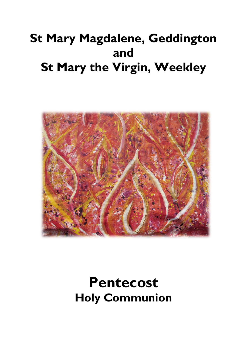# **St Mary Magdalene, Geddington and St Mary the Virgin, Weekley**



# **Pentecost Holy Communion**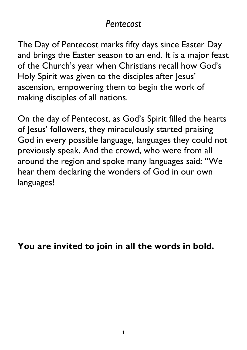## *Pentecost*

The Day of Pentecost marks fifty days since Easter Day and brings the Easter season to an end. It is a major feast of the Church's year when Christians recall how God's Holy Spirit was given to the disciples after Jesus' ascension, empowering them to begin the work of making disciples of all nations.

On the day of Pentecost, as God's Spirit filled the hearts of Jesus' followers, they miraculously started praising God in every possible language, languages they could not previously speak. And the crowd, who were from all around the region and spoke many languages said: "We hear them declaring the wonders of God in our own languages!

**You are invited to join in all the words in bold.**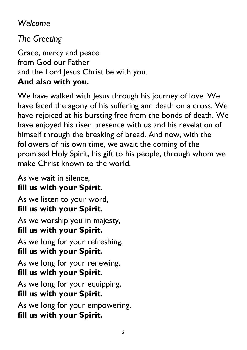## *Welcome*

*The Greeting*

Grace, mercy and peace from God our Father and the Lord Jesus Christ be with you. **And also with you.**

We have walked with Jesus through his journey of love. We have faced the agony of his suffering and death on a cross. We have rejoiced at his bursting free from the bonds of death. We have enjoyed his risen presence with us and his revelation of himself through the breaking of bread. And now, with the followers of his own time, we await the coming of the promised Holy Spirit, his gift to his people, through whom we make Christ known to the world.

As we wait in silence, **fill us with your Spirit.**  As we listen to your word, **fill us with your Spirit.**  As we worship you in majesty, **fill us with your Spirit.**  As we long for your refreshing, **fill us with your Spirit.**  As we long for your renewing, **fill us with your Spirit.**  As we long for your equipping, **fill us with your Spirit.** As we long for your empowering, **fill us with your Spirit.**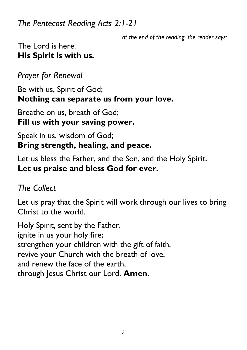*The Pentecost Reading Acts 2:1-21*

*at the end of the reading, the reader says:*

#### The Lord is here. **His Spirit is with us.**

*Prayer for Renewal* 

Be with us, Spirit of God; **Nothing can separate us from your love.** 

Breathe on us, breath of God; **Fill us with your saving power.** 

#### Speak in us, wisdom of God; **Bring strength, healing, and peace.**

Let us bless the Father, and the Son, and the Holy Spirit. **Let us praise and bless God for ever.** 

## *The Collect*

Let us pray that the Spirit will work through our lives to bring Christ to the world.

Holy Spirit, sent by the Father, ignite in us your holy fire; strengthen your children with the gift of faith, revive your Church with the breath of love, and renew the face of the earth, through Jesus Christ our Lord. **Amen.**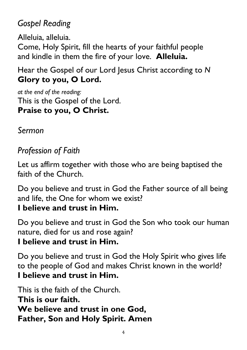## *Gospel Reading*

Alleluia, alleluia. Come, Holy Spirit, fill the hearts of your faithful people and kindle in them the fire of your love. **Alleluia.**

Hear the Gospel of our Lord Jesus Christ according to *N* **Glory to you, O Lord.**

*at the end of the reading:* This is the Gospel of the Lord. **Praise to you, O Christ.**

*Sermon*

## *Profession of Faith*

Let us affirm together with those who are being baptised the faith of the Church.

Do you believe and trust in God the Father source of all being and life, the One for whom we exist?

#### **I believe and trust in Him.**

Do you believe and trust in God the Son who took our human nature, died for us and rose again?

#### **I believe and trust in Him.**

Do you believe and trust in God the Holy Spirit who gives life to the people of God and makes Christ known in the world? **I believe and trust in Him.**

This is the faith of the Church. **This is our faith. We believe and trust in one God, Father, Son and Holy Spirit. Amen**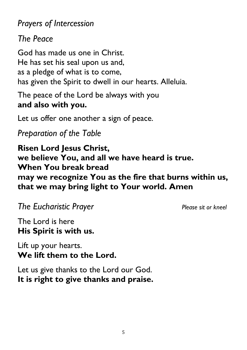*Prayers of Intercession*

*The Peace*

God has made us one in Christ. He has set his seal upon us and, as a pledge of what is to come, has given the Spirit to dwell in our hearts. Alleluia.

The peace of the Lord be always with you **and also with you.**

Let us offer one another a sign of peace.

*Preparation of the Table*

**Risen Lord Jesus Christ, we believe You, and all we have heard is true. When You break bread may we recognize You as the fire that burns within us, that we may bring light to Your world. Amen**

*The Eucharistic Prayer Please sit or kneel*

The Lord is here **His Spirit is with us.**

Lift up your hearts. **We lift them to the Lord.**

Let us give thanks to the Lord our God. **It is right to give thanks and praise.**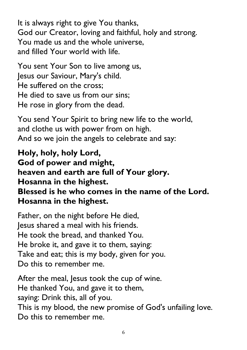It is always right to give You thanks, God our Creator, loving and faithful, holy and strong. You made us and the whole universe, and filled Your world with life.

You sent Your Son to live among us, Jesus our Saviour, Mary's child. He suffered on the cross; He died to save us from our sins; He rose in glory from the dead.

You send Your Spirit to bring new life to the world, and clothe us with power from on high. And so we join the angels to celebrate and say:

**Holy, holy, holy Lord, God of power and might, heaven and earth are full of Your glory. Hosanna in the highest. Blessed is he who comes in the name of the Lord. Hosanna in the highest.**

Father, on the night before He died, Jesus shared a meal with his friends. He took the bread, and thanked You. He broke it, and gave it to them, saying: Take and eat; this is my body, given for you. Do this to remember me.

After the meal, Jesus took the cup of wine. He thanked You, and gave it to them, saying: Drink this, all of you. This is my blood, the new promise of God's unfailing love. Do this to remember me.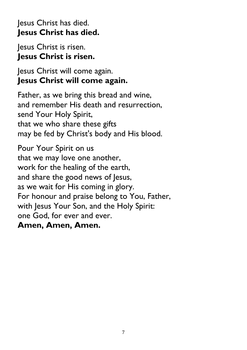#### Jesus Christ has died. **Jesus Christ has died.**

Jesus Christ is risen. **Jesus Christ is risen.**

#### Jesus Christ will come again. **Jesus Christ will come again.**

Father, as we bring this bread and wine, and remember His death and resurrection, send Your Holy Spirit, that we who share these gifts may be fed by Christ's body and His blood.

Pour Your Spirit on us that we may love one another, work for the healing of the earth, and share the good news of Jesus, as we wait for His coming in glory. For honour and praise belong to You, Father, with Jesus Your Son, and the Holy Spirit: one God, for ever and ever. **Amen, Amen, Amen.**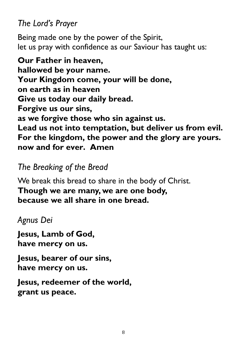*The Lord's Prayer*

Being made one by the power of the Spirit, let us pray with confidence as our Saviour has taught us:

**Our Father in heaven, hallowed be your name. Your Kingdom come, your will be done, on earth as in heaven Give us today our daily bread. Forgive us our sins, as we forgive those who sin against us. Lead us not into temptation, but deliver us from evil. For the kingdom, the power and the glory are yours. now and for ever. Amen**

#### *The Breaking of the Bread*

We break this bread to share in the body of Christ. **Though we are many, we are one body, because we all share in one bread.**

#### *Agnus Dei*

**Jesus, Lamb of God, have mercy on us.**

**Jesus, bearer of our sins, have mercy on us.**

**Jesus, redeemer of the world, grant us peace.**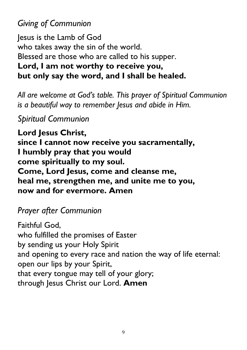## *Giving of Communion*

Jesus is the Lamb of God who takes away the sin of the world. Blessed are those who are called to his supper. **Lord, I am not worthy to receive you, but only say the word, and I shall be healed.**

*All are welcome at God's table. This prayer of Spiritual Communion is a beautiful way to remember Jesus and abide in Him.*

#### *Spiritual Communion*

**Lord Jesus Christ, since I cannot now receive you sacramentally, I humbly pray that you would come spiritually to my soul. Come, Lord Jesus, come and cleanse me, heal me, strengthen me, and unite me to you, now and for evermore. Amen**

### *Prayer after Communion*

Faithful God, who fulfilled the promises of Easter by sending us your Holy Spirit and opening to every race and nation the way of life eternal: open our lips by your Spirit, that every tongue may tell of your glory; through Jesus Christ our Lord. **Amen**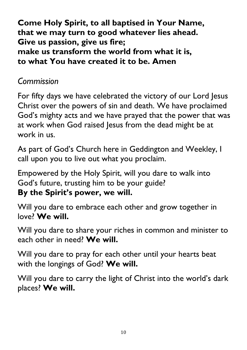**Come Holy Spirit, to all baptised in Your Name, that we may turn to good whatever lies ahead. Give us passion, give us fire; make us transform the world from what it is, to what You have created it to be. Amen**

### *Commission*

For fifty days we have celebrated the victory of our Lord Jesus Christ over the powers of sin and death. We have proclaimed God's mighty acts and we have prayed that the power that was at work when God raised Jesus from the dead might be at work in us.

As part of God's Church here in Geddington and Weekley, I call upon you to live out what you proclaim.

Empowered by the Holy Spirit, will you dare to walk into God's future, trusting him to be your guide? **By the Spirit's power, we will.**

Will you dare to embrace each other and grow together in love? **We will.**

Will you dare to share your riches in common and minister to each other in need? **We will.**

Will you dare to pray for each other until your hearts beat with the longings of God? **We will.**

Will you dare to carry the light of Christ into the world's dark places? **We will.**